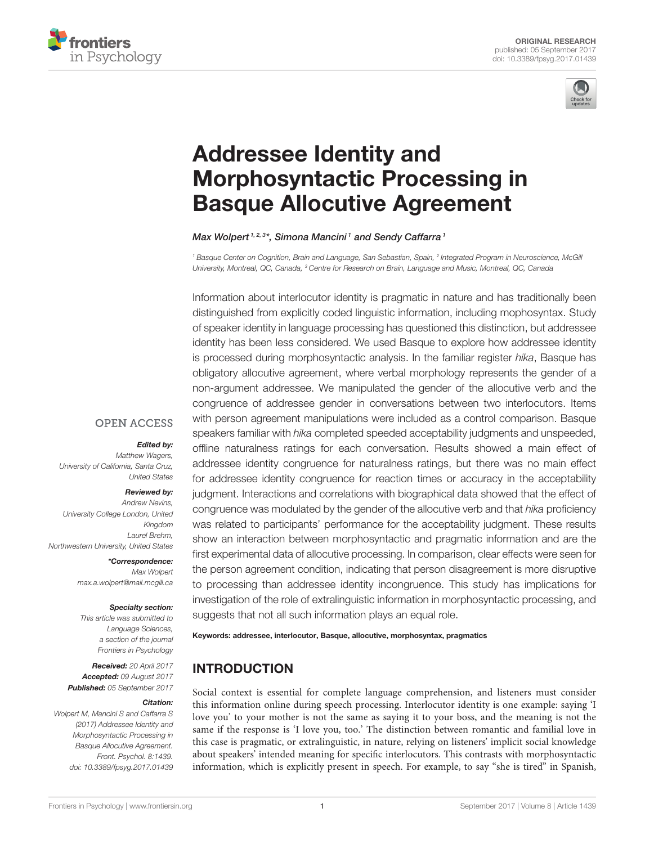



# Addressee Identity and [Morphosyntactic Processing in](http://journal.frontiersin.org/article/10.3389/fpsyg.2017.01439/abstract) Basque Allocutive Agreement

#### [Max Wolpert](http://loop.frontiersin.org/people/432827/overview) <sup>1, 2, 3\*</sup>, [Simona Mancini](http://loop.frontiersin.org/people/243910/overview) 1 and [Sendy Caffarra](http://loop.frontiersin.org/people/244361/overview) 1

*<sup>1</sup> Basque Center on Cognition, Brain and Language, San Sebastian, Spain, <sup>2</sup> Integrated Program in Neuroscience, McGill University, Montreal, QC, Canada, <sup>3</sup> Centre for Research on Brain, Language and Music, Montreal, QC, Canada*

Information about interlocutor identity is pragmatic in nature and has traditionally been distinguished from explicitly coded linguistic information, including mophosyntax. Study of speaker identity in language processing has questioned this distinction, but addressee identity has been less considered. We used Basque to explore how addressee identity is processed during morphosyntactic analysis. In the familiar register *hika*, Basque has obligatory allocutive agreement, where verbal morphology represents the gender of a non-argument addressee. We manipulated the gender of the allocutive verb and the congruence of addressee gender in conversations between two interlocutors. Items with person agreement manipulations were included as a control comparison. Basque speakers familiar with *hika* completed speeded acceptability judgments and unspeeded, offline naturalness ratings for each conversation. Results showed a main effect of addressee identity congruence for naturalness ratings, but there was no main effect for addressee identity congruence for reaction times or accuracy in the acceptability judgment. Interactions and correlations with biographical data showed that the effect of congruence was modulated by the gender of the allocutive verb and that *hika* proficiency was related to participants' performance for the acceptability judgment. These results show an interaction between morphosyntactic and pragmatic information and are the first experimental data of allocutive processing. In comparison, clear effects were seen for the person agreement condition, indicating that person disagreement is more disruptive to processing than addressee identity incongruence. This study has implications for investigation of the role of extralinguistic information in morphosyntactic processing, and suggests that not all such information plays an equal role.

Keywords: addressee, interlocutor, Basque, allocutive, morphosyntax, pragmatics

# INTRODUCTION

Social context is essential for complete language comprehension, and listeners must consider this information online during speech processing. Interlocutor identity is one example: saying 'I love you' to your mother is not the same as saying it to your boss, and the meaning is not the same if the response is 'I love you, too.' The distinction between romantic and familial love in this case is pragmatic, or extralinguistic, in nature, relying on listeners' implicit social knowledge about speakers' intended meaning for specific interlocutors. This contrasts with morphosyntactic information, which is explicitly present in speech. For example, to say "she is tired" in Spanish,

# **OPEN ACCESS**

#### Edited by:

*Matthew Wagers, University of California, Santa Cruz, United States*

#### Reviewed by:

*Andrew Nevins, University College London, United Kingdom Laurel Brehm, Northwestern University, United States*

> \*Correspondence: *Max Wolpert [max.a.wolpert@mail.mcgill.ca](mailto:max.a.wolpert@mail.mcgill.ca)*

#### Specialty section:

*This article was submitted to Language Sciences, a section of the journal Frontiers in Psychology*

Received: *20 April 2017* Accepted: *09 August 2017* Published: *05 September 2017*

#### Citation:

*Wolpert M, Mancini S and Caffarra S (2017) Addressee Identity and Morphosyntactic Processing in Basque Allocutive Agreement. Front. Psychol. 8:1439. doi: [10.3389/fpsyg.2017.01439](https://doi.org/10.3389/fpsyg.2017.01439)*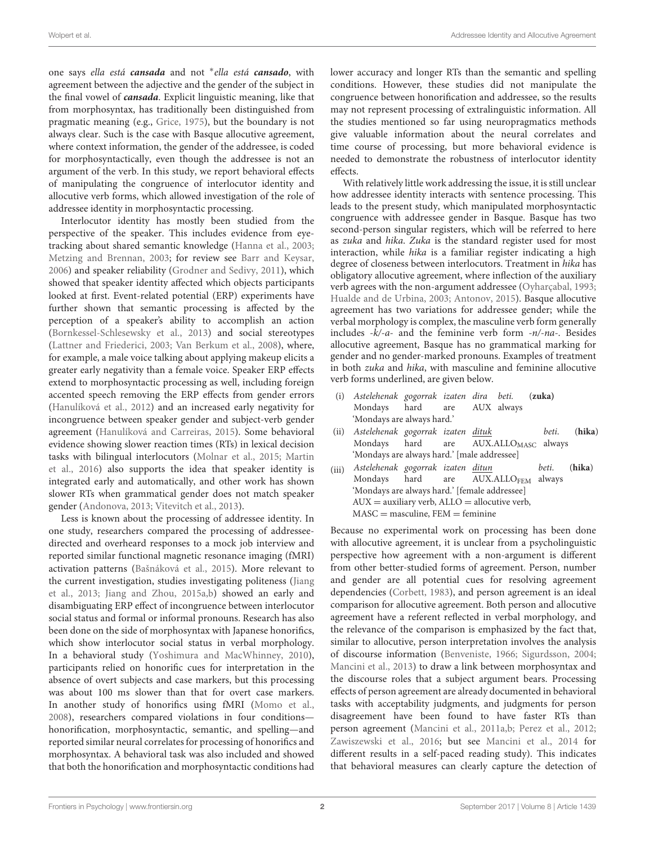one says ella está **cansada** and not <sup>∗</sup> ella está **cansado**, with agreement between the adjective and the gender of the subject in the final vowel of **cansada**. Explicit linguistic meaning, like that from morphosyntax, has traditionally been distinguished from pragmatic meaning (e.g., [Grice, 1975\)](#page-9-0), but the boundary is not always clear. Such is the case with Basque allocutive agreement, where context information, the gender of the addressee, is coded for morphosyntactically, even though the addressee is not an argument of the verb. In this study, we report behavioral effects of manipulating the congruence of interlocutor identity and allocutive verb forms, which allowed investigation of the role of addressee identity in morphosyntactic processing.

Interlocutor identity has mostly been studied from the perspective of the speaker. This includes evidence from eyetracking about shared semantic knowledge [\(Hanna et al., 2003;](#page-9-1) [Metzing and Brennan, 2003;](#page-9-2) for review see [Barr and Keysar,](#page-9-3) [2006\)](#page-9-3) and speaker reliability [\(Grodner and Sedivy, 2011\)](#page-9-4), which showed that speaker identity affected which objects participants looked at first. Event-related potential (ERP) experiments have further shown that semantic processing is affected by the perception of a speaker's ability to accomplish an action [\(Bornkessel-Schlesewsky et al., 2013\)](#page-9-5) and social stereotypes [\(Lattner and Friederici, 2003;](#page-9-6) [Van Berkum et al., 2008\)](#page-10-0), where, for example, a male voice talking about applying makeup elicits a greater early negativity than a female voice. Speaker ERP effects extend to morphosyntactic processing as well, including foreign accented speech removing the ERP effects from gender errors [\(Hanulíková et al., 2012\)](#page-9-7) and an increased early negativity for incongruence between speaker gender and subject-verb gender agreement [\(Hanulíková and Carreiras, 2015\)](#page-9-8). Some behavioral evidence showing slower reaction times (RTs) in lexical decision tasks with bilingual interlocutors [\(Molnar et al., 2015;](#page-9-9) Martin et al., [2016\)](#page-9-10) also supports the idea that speaker identity is integrated early and automatically, and other work has shown slower RTs when grammatical gender does not match speaker gender [\(Andonova, 2013;](#page-9-11) [Vitevitch et al., 2013\)](#page-10-1).

Less is known about the processing of addressee identity. In one study, researchers compared the processing of addresseedirected and overheard responses to a mock job interview and reported similar functional magnetic resonance imaging (fMRI) activation patterns [\(Bašnáková et al., 2015\)](#page-9-12). More relevant to the current investigation, studies investigating politeness (Jiang et al., [2013;](#page-9-13) [Jiang and Zhou, 2015a](#page-9-14)[,b\)](#page-9-15) showed an early and disambiguating ERP effect of incongruence between interlocutor social status and formal or informal pronouns. Research has also been done on the side of morphosyntax with Japanese honorifics, which show interlocutor social status in verbal morphology. In a behavioral study [\(Yoshimura and MacWhinney, 2010\)](#page-10-2), participants relied on honorific cues for interpretation in the absence of overt subjects and case markers, but this processing was about 100 ms slower than that for overt case markers. In another study of honorifics using fMRI [\(Momo et al.,](#page-9-16) [2008\)](#page-9-16), researchers compared violations in four conditions honorification, morphosyntactic, semantic, and spelling—and reported similar neural correlates for processing of honorifics and morphosyntax. A behavioral task was also included and showed that both the honorification and morphosyntactic conditions had lower accuracy and longer RTs than the semantic and spelling conditions. However, these studies did not manipulate the congruence between honorification and addressee, so the results may not represent processing of extralinguistic information. All the studies mentioned so far using neuropragmatics methods give valuable information about the neural correlates and time course of processing, but more behavioral evidence is needed to demonstrate the robustness of interlocutor identity effects.

With relatively little work addressing the issue, it is still unclear how addressee identity interacts with sentence processing. This leads to the present study, which manipulated morphosyntactic congruence with addressee gender in Basque. Basque has two second-person singular registers, which will be referred to here as zuka and hika. Zuka is the standard register used for most interaction, while hika is a familiar register indicating a high degree of closeness between interlocutors. Treatment in hika has obligatory allocutive agreement, where inflection of the auxiliary verb agrees with the non-argument addressee [\(Oyharçabal, 1993;](#page-9-17) [Hualde and de Urbina, 2003;](#page-9-18) [Antonov, 2015\)](#page-9-19). Basque allocutive agreement has two variations for addressee gender; while the verbal morphology is complex, the masculine verb form generally includes  $-k/-a$ - and the feminine verb form  $-n/-na$ . Besides allocutive agreement, Basque has no grammatical marking for gender and no gender-marked pronouns. Examples of treatment in both zuka and hika, with masculine and feminine allocutive verb forms underlined, are given below.

- (i) Astelehenak gogorrak izaten dira beti. (**zuka)** Mondays hard are AUX always 'Mondays are always hard.'
- (ii) Astelehenak gogorrak izaten dituk beti. (**hika**) Mondays hard are AUX.ALLO<sub>MASC</sub> always 'Mondays are always hard.' [male addressee]
- (iii) Astelehenak gogorrak izaten ditun beti. (**hika**) AUX.ALLOFEM always 'Mondays are always hard.' [female addressee]  $AUX =$  auxiliary verb,  $ALLO =$  allocutive verb,  $MASC =$  masculine,  $FEM =$  feminine

Because no experimental work on processing has been done with allocutive agreement, it is unclear from a psycholinguistic perspective how agreement with a non-argument is different from other better-studied forms of agreement. Person, number and gender are all potential cues for resolving agreement dependencies [\(Corbett, 1983\)](#page-9-20), and person agreement is an ideal comparison for allocutive agreement. Both person and allocutive agreement have a referent reflected in verbal morphology, and the relevance of the comparison is emphasized by the fact that, similar to allocutive, person interpretation involves the analysis of discourse information [\(Benveniste, 1966;](#page-9-21) [Sigurdsson, 2004;](#page-9-22) [Mancini et al., 2013\)](#page-9-23) to draw a link between morphosyntax and the discourse roles that a subject argument bears. Processing effects of person agreement are already documented in behavioral tasks with acceptability judgments, and judgments for person disagreement have been found to have faster RTs than person agreement [\(Mancini et al., 2011a](#page-9-24)[,b;](#page-9-25) [Perez et al., 2012;](#page-9-26) [Zawiszewski et al., 2016;](#page-10-3) but see [Mancini et al., 2014](#page-9-27) for different results in a self-paced reading study). This indicates that behavioral measures can clearly capture the detection of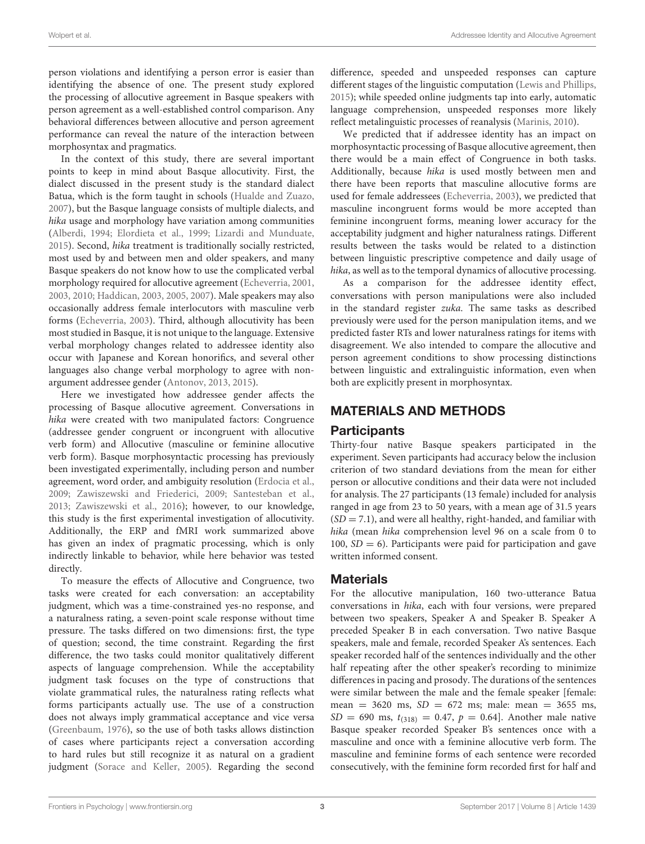person violations and identifying a person error is easier than identifying the absence of one. The present study explored the processing of allocutive agreement in Basque speakers with person agreement as a well-established control comparison. Any behavioral differences between allocutive and person agreement performance can reveal the nature of the interaction between morphosyntax and pragmatics.

In the context of this study, there are several important points to keep in mind about Basque allocutivity. First, the dialect discussed in the present study is the standard dialect Batua, which is the form taught in schools [\(Hualde and Zuazo,](#page-9-28) [2007\)](#page-9-28), but the Basque language consists of multiple dialects, and hika usage and morphology have variation among communities [\(Alberdi, 1994;](#page-9-29) [Elordieta et al., 1999;](#page-9-30) [Lizardi and Munduate,](#page-9-31) [2015\)](#page-9-31). Second, hika treatment is traditionally socially restricted, most used by and between men and older speakers, and many Basque speakers do not know how to use the complicated verbal morphology required for allocutive agreement [\(Echeverria, 2001,](#page-9-32) [2003,](#page-9-33) [2010;](#page-9-34) [Haddican, 2003,](#page-9-35) [2005,](#page-9-36) [2007\)](#page-9-37). Male speakers may also occasionally address female interlocutors with masculine verb forms [\(Echeverria, 2003\)](#page-9-33). Third, although allocutivity has been most studied in Basque, it is not unique to the language. Extensive verbal morphology changes related to addressee identity also occur with Japanese and Korean honorifics, and several other languages also change verbal morphology to agree with nonargument addressee gender [\(Antonov, 2013,](#page-9-38) [2015\)](#page-9-19).

Here we investigated how addressee gender affects the processing of Basque allocutive agreement. Conversations in hika were created with two manipulated factors: Congruence (addressee gender congruent or incongruent with allocutive verb form) and Allocutive (masculine or feminine allocutive verb form). Basque morphosyntactic processing has previously been investigated experimentally, including person and number agreement, word order, and ambiguity resolution [\(Erdocia et al.,](#page-9-39) [2009;](#page-9-39) [Zawiszewski and Friederici, 2009;](#page-10-4) [Santesteban et al.,](#page-9-40) [2013;](#page-9-40) [Zawiszewski et al., 2016\)](#page-10-3); however, to our knowledge, this study is the first experimental investigation of allocutivity. Additionally, the ERP and fMRI work summarized above has given an index of pragmatic processing, which is only indirectly linkable to behavior, while here behavior was tested directly.

To measure the effects of Allocutive and Congruence, two tasks were created for each conversation: an acceptability judgment, which was a time-constrained yes-no response, and a naturalness rating, a seven-point scale response without time pressure. The tasks differed on two dimensions: first, the type of question; second, the time constraint. Regarding the first difference, the two tasks could monitor qualitatively different aspects of language comprehension. While the acceptability judgment task focuses on the type of constructions that violate grammatical rules, the naturalness rating reflects what forms participants actually use. The use of a construction does not always imply grammatical acceptance and vice versa [\(Greenbaum, 1976\)](#page-9-41), so the use of both tasks allows distinction of cases where participants reject a conversation according to hard rules but still recognize it as natural on a gradient judgment [\(Sorace and Keller, 2005\)](#page-9-42). Regarding the second difference, speeded and unspeeded responses can capture different stages of the linguistic computation [\(Lewis and Phillips,](#page-9-43) [2015\)](#page-9-43); while speeded online judgments tap into early, automatic language comprehension, unspeeded responses more likely reflect metalinguistic processes of reanalysis [\(Marinis, 2010\)](#page-9-44).

We predicted that if addressee identity has an impact on morphosyntactic processing of Basque allocutive agreement, then there would be a main effect of Congruence in both tasks. Additionally, because hika is used mostly between men and there have been reports that masculine allocutive forms are used for female addressees [\(Echeverria, 2003\)](#page-9-33), we predicted that masculine incongruent forms would be more accepted than feminine incongruent forms, meaning lower accuracy for the acceptability judgment and higher naturalness ratings. Different results between the tasks would be related to a distinction between linguistic prescriptive competence and daily usage of hika, as well as to the temporal dynamics of allocutive processing.

As a comparison for the addressee identity effect, conversations with person manipulations were also included in the standard register zuka. The same tasks as described previously were used for the person manipulation items, and we predicted faster RTs and lower naturalness ratings for items with disagreement. We also intended to compare the allocutive and person agreement conditions to show processing distinctions between linguistic and extralinguistic information, even when both are explicitly present in morphosyntax.

# MATERIALS AND METHODS

# **Participants**

Thirty-four native Basque speakers participated in the experiment. Seven participants had accuracy below the inclusion criterion of two standard deviations from the mean for either person or allocutive conditions and their data were not included for analysis. The 27 participants (13 female) included for analysis ranged in age from 23 to 50 years, with a mean age of 31.5 years  $(SD = 7.1)$ , and were all healthy, right-handed, and familiar with hika (mean hika comprehension level 96 on a scale from 0 to 100,  $SD = 6$ ). Participants were paid for participation and gave written informed consent.

# **Materials**

For the allocutive manipulation, 160 two-utterance Batua conversations in hika, each with four versions, were prepared between two speakers, Speaker A and Speaker B. Speaker A preceded Speaker B in each conversation. Two native Basque speakers, male and female, recorded Speaker A's sentences. Each speaker recorded half of the sentences individually and the other half repeating after the other speaker's recording to minimize differences in pacing and prosody. The durations of the sentences were similar between the male and the female speaker [female: mean =  $3620$  ms,  $SD = 672$  ms; male: mean =  $3655$  ms,  $SD = 690$  ms,  $t_{(318)} = 0.47$ ,  $p = 0.64$ . Another male native Basque speaker recorded Speaker B's sentences once with a masculine and once with a feminine allocutive verb form. The masculine and feminine forms of each sentence were recorded consecutively, with the feminine form recorded first for half and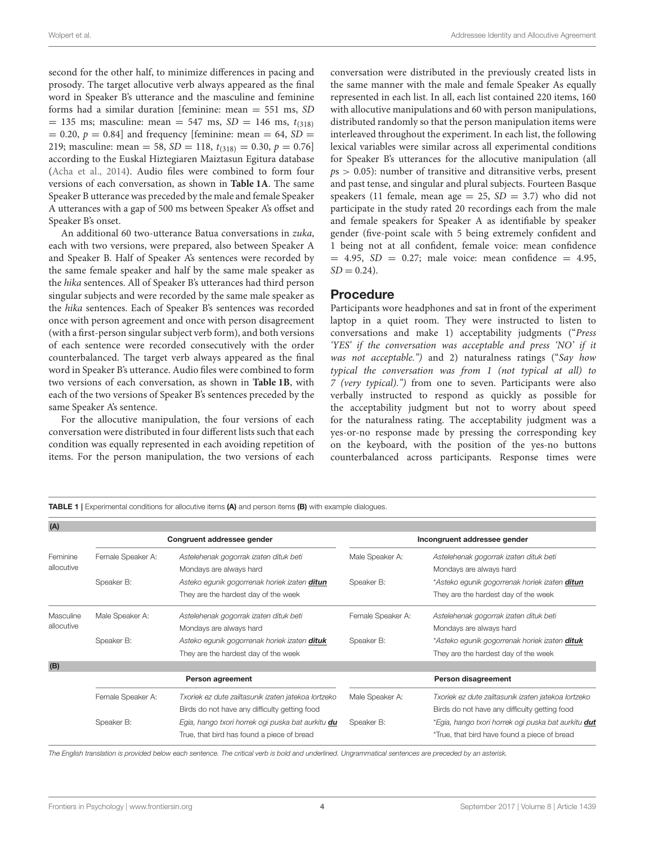second for the other half, to minimize differences in pacing and prosody. The target allocutive verb always appeared as the final word in Speaker B's utterance and the masculine and feminine forms had a similar duration [feminine: mean = 551 ms, SD  $= 135$  ms; masculine: mean  $= 547$  ms,  $SD = 146$  ms,  $t_{(318)}$  $= 0.20, p = 0.84$ ] and frequency [feminine: mean  $= 64$ , SD  $=$ 219; masculine: mean = 58,  $SD = 118$ ,  $t_{(318)} = 0.30$ ,  $p = 0.76$ ] according to the Euskal Hiztegiaren Maiztasun Egitura database [\(Acha et al., 2014\)](#page-9-45). Audio files were combined to form four versions of each conversation, as shown in **[Table 1A](#page-3-0)**. The same Speaker B utterance was preceded by the male and female Speaker A utterances with a gap of 500 ms between Speaker A's offset and Speaker B's onset.

An additional 60 two-utterance Batua conversations in zuka, each with two versions, were prepared, also between Speaker A and Speaker B. Half of Speaker A's sentences were recorded by the same female speaker and half by the same male speaker as the hika sentences. All of Speaker B's utterances had third person singular subjects and were recorded by the same male speaker as the hika sentences. Each of Speaker B's sentences was recorded once with person agreement and once with person disagreement (with a first-person singular subject verb form), and both versions of each sentence were recorded consecutively with the order counterbalanced. The target verb always appeared as the final word in Speaker B's utterance. Audio files were combined to form two versions of each conversation, as shown in **[Table 1B](#page-3-0)**, with each of the two versions of Speaker B's sentences preceded by the same Speaker A's sentence.

For the allocutive manipulation, the four versions of each conversation were distributed in four different lists such that each condition was equally represented in each avoiding repetition of items. For the person manipulation, the two versions of each conversation were distributed in the previously created lists in the same manner with the male and female Speaker As equally represented in each list. In all, each list contained 220 items, 160 with allocutive manipulations and 60 with person manipulations, distributed randomly so that the person manipulation items were interleaved throughout the experiment. In each list, the following lexical variables were similar across all experimental conditions for Speaker B's utterances for the allocutive manipulation (all  $ps > 0.05$ ): number of transitive and ditransitive verbs, present and past tense, and singular and plural subjects. Fourteen Basque speakers (11 female, mean age = 25,  $SD = 3.7$ ) who did not participate in the study rated 20 recordings each from the male and female speakers for Speaker A as identifiable by speaker gender (five-point scale with 5 being extremely confident and 1 being not at all confident, female voice: mean confidence  $= 4.95$ ,  $SD = 0.27$ ; male voice: mean confidence  $= 4.95$ ,  $SD = 0.24$ .

## Procedure

Participants wore headphones and sat in front of the experiment laptop in a quiet room. They were instructed to listen to conversations and make 1) acceptability judgments ("Press 'YES' if the conversation was acceptable and press 'NO' if it was not acceptable.") and 2) naturalness ratings ("Say how typical the conversation was from 1 (not typical at all) to 7 (very typical).") from one to seven. Participants were also verbally instructed to respond as quickly as possible for the acceptability judgment but not to worry about speed for the naturalness rating. The acceptability judgment was a yes-or-no response made by pressing the corresponding key on the keyboard, with the position of the yes-no buttons counterbalanced across participants. Response times were

<span id="page-3-0"></span>TABLE 1 | Experimental conditions for allocutive items (A) and person items (B) with example dialogues.

| (A)        |                            |                                                     |                              |                                                            |
|------------|----------------------------|-----------------------------------------------------|------------------------------|------------------------------------------------------------|
|            | Congruent addressee gender |                                                     | Incongruent addressee gender |                                                            |
| Feminine   | Female Speaker A:          | Astelehenak gogorrak izaten dituk beti              | Male Speaker A:              | Astelehenak gogorrak izaten dituk beti                     |
| allocutive |                            | Mondays are always hard                             |                              | Mondays are always hard                                    |
|            | Speaker B:                 | Asteko egunik gogorrenak horiek izaten ditun        | Speaker B:                   | *Asteko egunik gogorrenak horiek izaten <b>ditun</b>       |
|            |                            | They are the hardest day of the week                |                              | They are the hardest day of the week                       |
| Masculine  | Male Speaker A:            | Astelehenak gogorrak izaten dituk beti              | Female Speaker A:            | Astelehenak gogorrak izaten dituk beti                     |
| allocutive |                            | Mondays are always hard                             |                              | Mondays are always hard                                    |
|            | Speaker B:                 | Asteko egunik gogorrenak horiek izaten dituk        | Speaker B:                   | *Asteko egunik gogorrenak horiek izaten <b>dituk</b>       |
|            |                            | They are the hardest day of the week                |                              | They are the hardest day of the week                       |
| (B)        |                            |                                                     |                              |                                                            |
|            | Person agreement           |                                                     |                              | Person disagreement                                        |
|            | Female Speaker A:          | Txoriek ez dute zailtasunik izaten jatekoa lortzeko | Male Speaker A:              | Txoriek ez dute zailtasunik izaten jatekoa lortzeko        |
|            |                            | Birds do not have any difficulty getting food       |                              | Birds do not have any difficulty getting food              |
|            | Speaker B:                 | Egia, hango txori horrek ogi puska bat aurkitu du   | Speaker B:                   | *Egia, hango txori horrek ogi puska bat aurkitu <b>dut</b> |
|            |                            | True, that bird has found a piece of bread          |                              | *True, that bird have found a piece of bread               |

*The English translation is provided below each sentence. The critical verb is bold and underlined. Ungrammatical sentences are preceded by an asterisk.*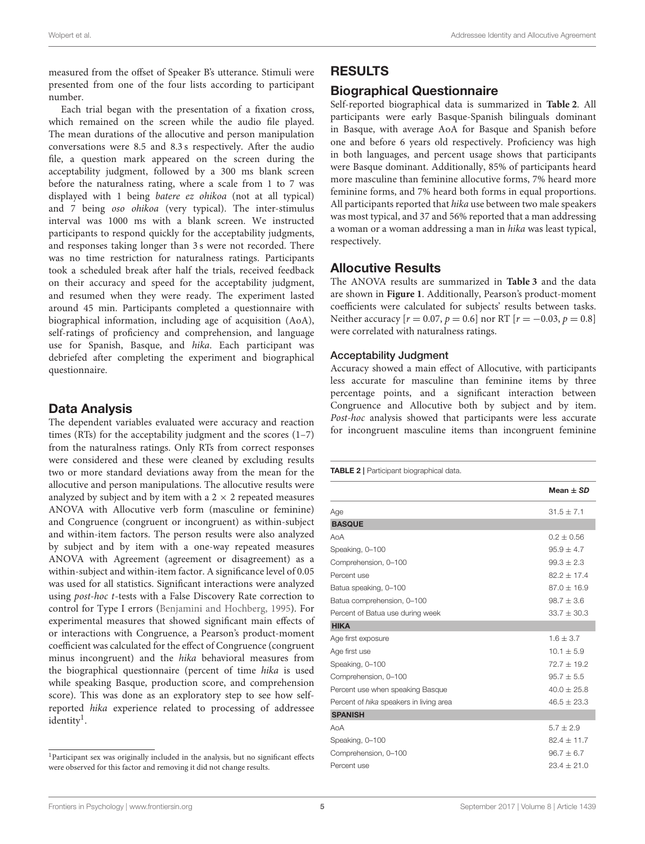measured from the offset of Speaker B's utterance. Stimuli were presented from one of the four lists according to participant number.

Each trial began with the presentation of a fixation cross, which remained on the screen while the audio file played. The mean durations of the allocutive and person manipulation conversations were 8.5 and 8.3 s respectively. After the audio file, a question mark appeared on the screen during the acceptability judgment, followed by a 300 ms blank screen before the naturalness rating, where a scale from 1 to 7 was displayed with 1 being batere ez ohikoa (not at all typical) and 7 being oso ohikoa (very typical). The inter-stimulus interval was 1000 ms with a blank screen. We instructed participants to respond quickly for the acceptability judgments, and responses taking longer than 3 s were not recorded. There was no time restriction for naturalness ratings. Participants took a scheduled break after half the trials, received feedback on their accuracy and speed for the acceptability judgment, and resumed when they were ready. The experiment lasted around 45 min. Participants completed a questionnaire with biographical information, including age of acquisition (AoA), self-ratings of proficiency and comprehension, and language use for Spanish, Basque, and hika. Each participant was debriefed after completing the experiment and biographical questionnaire.

## Data Analysis

The dependent variables evaluated were accuracy and reaction times (RTs) for the acceptability judgment and the scores  $(1-7)$ from the naturalness ratings. Only RTs from correct responses were considered and these were cleaned by excluding results two or more standard deviations away from the mean for the allocutive and person manipulations. The allocutive results were analyzed by subject and by item with a  $2 \times 2$  repeated measures ANOVA with Allocutive verb form (masculine or feminine) and Congruence (congruent or incongruent) as within-subject and within-item factors. The person results were also analyzed by subject and by item with a one-way repeated measures ANOVA with Agreement (agreement or disagreement) as a within-subject and within-item factor. A significance level of 0.05 was used for all statistics. Significant interactions were analyzed using post-hoc t-tests with a False Discovery Rate correction to control for Type I errors [\(Benjamini and Hochberg, 1995\)](#page-9-46). For experimental measures that showed significant main effects of or interactions with Congruence, a Pearson's product-moment coefficient was calculated for the effect of Congruence (congruent minus incongruent) and the hika behavioral measures from the biographical questionnaire (percent of time hika is used while speaking Basque, production score, and comprehension score). This was done as an exploratory step to see how selfreported hika experience related to processing of addressee identity<sup>[1](#page-4-0)</sup>.

## RESULTS

## Biographical Questionnaire

Self-reported biographical data is summarized in **[Table 2](#page-4-1)**. All participants were early Basque-Spanish bilinguals dominant in Basque, with average AoA for Basque and Spanish before one and before 6 years old respectively. Proficiency was high in both languages, and percent usage shows that participants were Basque dominant. Additionally, 85% of participants heard more masculine than feminine allocutive forms, 7% heard more feminine forms, and 7% heard both forms in equal proportions. All participants reported that hika use between two male speakers was most typical, and 37 and 56% reported that a man addressing a woman or a woman addressing a man in hika was least typical, respectively.

## Allocutive Results

The ANOVA results are summarized in **[Table 3](#page-5-0)** and the data are shown in **[Figure 1](#page-5-1)**. Additionally, Pearson's product-moment coefficients were calculated for subjects' results between tasks. Neither accuracy  $[r = 0.07, p = 0.6]$  nor RT  $[r = -0.03, p = 0.8]$ were correlated with naturalness ratings.

#### Acceptability Judgment

Accuracy showed a main effect of Allocutive, with participants less accurate for masculine than feminine items by three percentage points, and a significant interaction between Congruence and Allocutive both by subject and by item. Post-hoc analysis showed that participants were less accurate for incongruent masculine items than incongruent feminine

<span id="page-4-1"></span>TABLE 2 | Participant biographical data.

|                                         | $Mean + SD$     |
|-----------------------------------------|-----------------|
| Age                                     | $31.5 + 7.1$    |
| <b>BASQUE</b>                           |                 |
| $A \cap A$                              | $0.2 + 0.56$    |
| Speaking, 0-100                         | $95.9 + 4.7$    |
| Comprehension, 0-100                    | $99.3 + 2.3$    |
| Percent use                             | $822 + 174$     |
| Batua speaking, 0-100                   | $87.0 + 16.9$   |
| Batua comprehension, 0-100              | $98.7 + 3.6$    |
| Percent of Batua use during week        | $33.7 + 30.3$   |
| <b>HIKA</b>                             |                 |
| Age first exposure                      | $1.6 + 3.7$     |
| Age first use                           | $10.1 + 5.9$    |
| Speaking, 0-100                         | $72.7 + 19.2$   |
| Comprehension, 0-100                    | $95.7 + 5.5$    |
| Percent use when speaking Basque        | $40.0 + 25.8$   |
| Percent of hika speakers in living area | $46.5 \pm 23.3$ |
| <b>SPANISH</b>                          |                 |
| AoA                                     | $5.7 + 2.9$     |
| Speaking, 0-100                         | $82.4 + 11.7$   |
| Comprehension, 0-100                    | $96.7 \pm 6.7$  |
| Percent use                             | $23.4 + 21.0$   |

<span id="page-4-0"></span><sup>&</sup>lt;sup>1</sup>Participant sex was originally included in the analysis, but no significant effects were observed for this factor and removing it did not change results.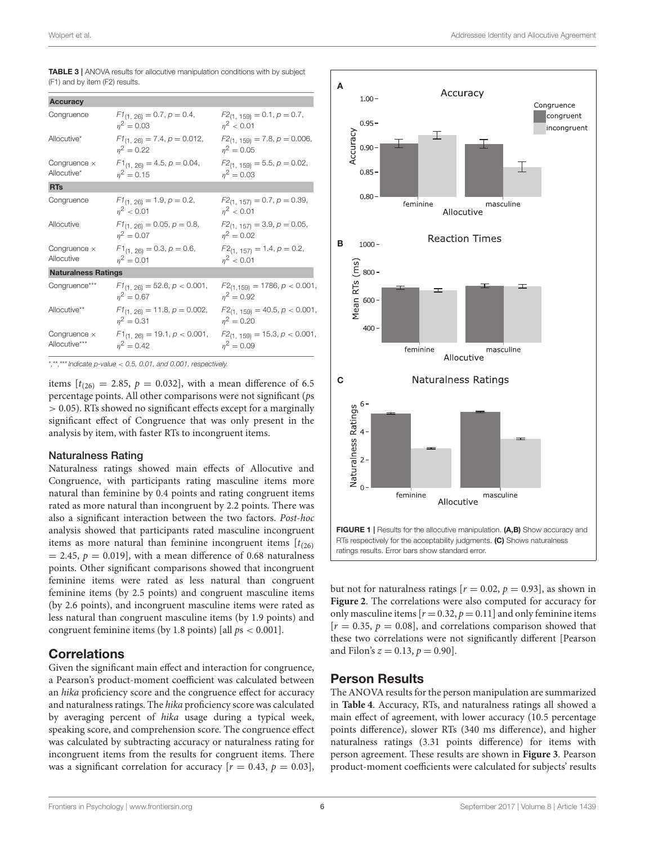| Wolpert et al. | Addressee Identity and Allocutive Agreement |
|----------------|---------------------------------------------|
|----------------|---------------------------------------------|

| <b>Accuracy</b>                      |                                                   |                                                    |  |
|--------------------------------------|---------------------------------------------------|----------------------------------------------------|--|
| Congruence                           | $F1_{(1, 26)} = 0.7, p = 0.4,$<br>$n^2 = 0.03$    | $F2_{(1, 159)} = 0.1, p = 0.7,$<br>$n^2$ < 0.01    |  |
| Allocutive*                          | $F1_{(1, 26)} = 7.4, p = 0.012,$<br>$n^2 = 0.22$  | $F2_{(1, 159)} = 7.8, p = 0.006,$<br>$n^2 = 0.05$  |  |
| Congruence $\times$<br>Allocutive*   | $F1_{(1, 26)} = 4.5, p = 0.04,$<br>$n^2 = 0.15$   | $F2_{(1, 159)} = 5.5, p = 0.02,$<br>$n^2 = 0.03$   |  |
| <b>RTs</b>                           |                                                   |                                                    |  |
| Congruence                           | $F1_{(1, 26)} = 1.9, p = 0.2,$<br>$n^2$ < 0.01    | $F2_{(1, 157)} = 0.7, p = 0.39,$<br>$n^2$ < 0.01   |  |
| Allocutive                           | $F1_{(1, 26)} = 0.05, p = 0.8$<br>$n^2 = 0.07$    | $F2_{(1, 157)} = 3.9, p = 0.05,$<br>$n^2 = 0.02$   |  |
| Congruence $\times$<br>Allocutive    | $F1_{(1, 26)} = 0.3, p = 0.6$<br>$\eta^2 = 0.01$  | $F2_{(1, 157)} = 1.4, p = 0.2,$<br>$\eta^2$ < 0.01 |  |
| <b>Naturalness Ratings</b>           |                                                   |                                                    |  |
| Congruence***                        | $F1_{(1, 26)} = 52.6, p < 0.001,$<br>$n^2 = 0.67$ | $F2_{(1,159)} = 1786, p < 0.001,$<br>$n^2 = 0.92$  |  |
| Allocutive**                         | $F1_{(1, 26)} = 11.8, p = 0.002,$<br>$n^2 = 0.31$ | $F2_{(1, 159)} = 40.5, p < 0.001,$<br>$n^2 = 0.20$ |  |
| Congruence $\times$<br>Allocutive*** | $F1_{(1, 26)} = 19.1, p < 0.001,$<br>$n^2 = 0.42$ | $F2_{(1, 159)} = 15.3, p < 0.001,$<br>$n^2 = 0.09$ |  |

<span id="page-5-0"></span>TABLE 3 | ANOVA results for allocutive manipulation conditions with by subject (F1) and by item (F2) results.

\**,*\*\**,*\*\*\**Indicate p-value* < *0.5, 0.01, and 0.001, respectively.*

items  $[t_{(26)} = 2.85, p = 0.032]$ , with a mean difference of 6.5 percentage points. All other comparisons were not significant (ps > 0.05). RTs showed no significant effects except for a marginally significant effect of Congruence that was only present in the analysis by item, with faster RTs to incongruent items.

#### Naturalness Rating

Naturalness ratings showed main effects of Allocutive and Congruence, with participants rating masculine items more natural than feminine by 0.4 points and rating congruent items rated as more natural than incongruent by 2.2 points. There was also a significant interaction between the two factors. Post-hoc analysis showed that participants rated masculine incongruent items as more natural than feminine incongruent items  $[t_{(26)}]$  $= 2.45$ ,  $p = 0.019$ , with a mean difference of 0.68 naturalness points. Other significant comparisons showed that incongruent feminine items were rated as less natural than congruent feminine items (by 2.5 points) and congruent masculine items (by 2.6 points), and incongruent masculine items were rated as less natural than congruent masculine items (by 1.9 points) and congruent feminine items (by 1.8 points) [all  $ps < 0.001$ ].

## **Correlations**

Given the significant main effect and interaction for congruence, a Pearson's product-moment coefficient was calculated between an hika proficiency score and the congruence effect for accuracy and naturalness ratings. The hika proficiency score was calculated by averaging percent of hika usage during a typical week, speaking score, and comprehension score. The congruence effect was calculated by subtracting accuracy or naturalness rating for incongruent items from the results for congruent items. There was a significant correlation for accuracy  $[r = 0.43, p = 0.03]$ ,



<span id="page-5-1"></span>but not for naturalness ratings  $[r = 0.02, p = 0.93]$ , as shown in **[Figure 2](#page-6-0)**. The correlations were also computed for accuracy for only masculine items  $[r = 0.32, p = 0.11]$  and only feminine items  $[r = 0.35, p = 0.08]$ , and correlations comparison showed that these two correlations were not significantly different [Pearson and Filon's  $z = 0.13$ ,  $p = 0.90$ .

## Person Results

The ANOVA results for the person manipulation are summarized in **[Table 4](#page-6-1)**. Accuracy, RTs, and naturalness ratings all showed a main effect of agreement, with lower accuracy (10.5 percentage points difference), slower RTs (340 ms difference), and higher naturalness ratings (3.31 points difference) for items with person agreement. These results are shown in **[Figure 3](#page-7-0)**. Pearson product-moment coefficients were calculated for subjects' results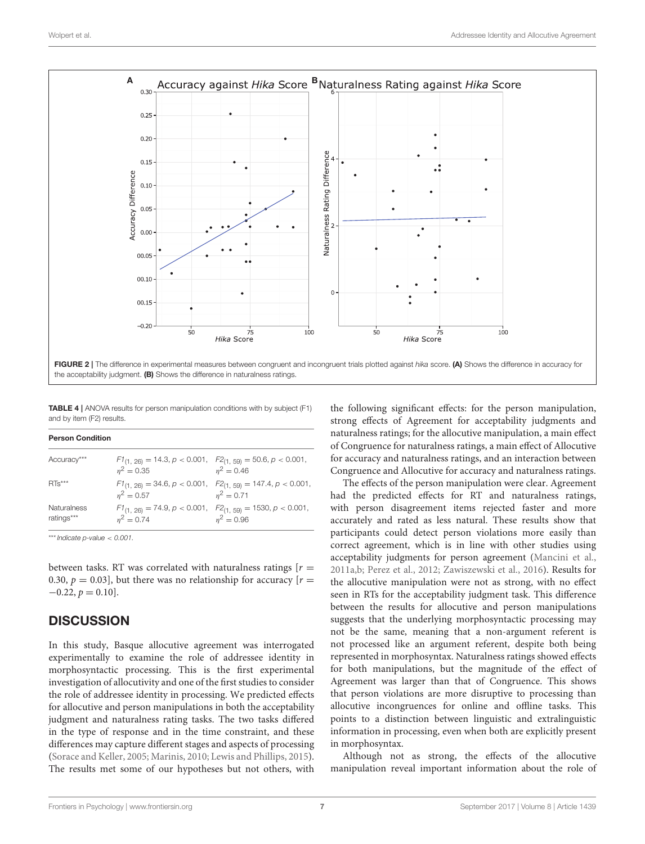

<span id="page-6-1"></span><span id="page-6-0"></span>TABLE 4 | ANOVA results for person manipulation conditions with by subject (F1) and by item (F2) results.

| <b>Person Condition</b>   |                                                                                                |                                                                                    |  |  |  |
|---------------------------|------------------------------------------------------------------------------------------------|------------------------------------------------------------------------------------|--|--|--|
| Accuracy***               | $F1_{(1, 26)} = 14.3, p < 0.001, F2_{(1, 59)} = 50.6, p < 0.001,$<br>$n^2 = 0.35$ $n^2 = 0.46$ |                                                                                    |  |  |  |
| $RTs***$                  | $n^2 = 0.57$                                                                                   | $F1_{(1, 26)} = 34.6, p < 0.001, F2_{(1, 59)} = 147.4, p < 0.001,$<br>$n^2 = 0.71$ |  |  |  |
| Naturalness<br>ratings*** | $F1_{(1, 26)} = 74.9, p < 0.001, F2_{(1, 59)} = 1530, p < 0.001,$<br>$n^2 = 0.74$              | $n^2 = 0.96$                                                                       |  |  |  |

\*\*\**Indicate p-value* < *0.001.*

between tasks. RT was correlated with naturalness ratings  $[r =$ 0.30,  $p = 0.03$ ], but there was no relationship for accuracy  $[r = 0.03]$  $-0.22, p = 0.10$ .

# **DISCUSSION**

In this study, Basque allocutive agreement was interrogated experimentally to examine the role of addressee identity in morphosyntactic processing. This is the first experimental investigation of allocutivity and one of the first studies to consider the role of addressee identity in processing. We predicted effects for allocutive and person manipulations in both the acceptability judgment and naturalness rating tasks. The two tasks differed in the type of response and in the time constraint, and these differences may capture different stages and aspects of processing [\(Sorace and Keller, 2005;](#page-9-42) [Marinis, 2010;](#page-9-44) [Lewis and Phillips, 2015\)](#page-9-43). The results met some of our hypotheses but not others, with the following significant effects: for the person manipulation, strong effects of Agreement for acceptability judgments and naturalness ratings; for the allocutive manipulation, a main effect of Congruence for naturalness ratings, a main effect of Allocutive for accuracy and naturalness ratings, and an interaction between Congruence and Allocutive for accuracy and naturalness ratings.

The effects of the person manipulation were clear. Agreement had the predicted effects for RT and naturalness ratings, with person disagreement items rejected faster and more accurately and rated as less natural. These results show that participants could detect person violations more easily than correct agreement, which is in line with other studies using acceptability judgments for person agreement [\(Mancini et al.,](#page-9-24) [2011a](#page-9-24)[,b;](#page-9-25) [Perez et al., 2012;](#page-9-26) [Zawiszewski et al., 2016\)](#page-10-3). Results for the allocutive manipulation were not as strong, with no effect seen in RTs for the acceptability judgment task. This difference between the results for allocutive and person manipulations suggests that the underlying morphosyntactic processing may not be the same, meaning that a non-argument referent is not processed like an argument referent, despite both being represented in morphosyntax. Naturalness ratings showed effects for both manipulations, but the magnitude of the effect of Agreement was larger than that of Congruence. This shows that person violations are more disruptive to processing than allocutive incongruences for online and offline tasks. This points to a distinction between linguistic and extralinguistic information in processing, even when both are explicitly present in morphosyntax.

Although not as strong, the effects of the allocutive manipulation reveal important information about the role of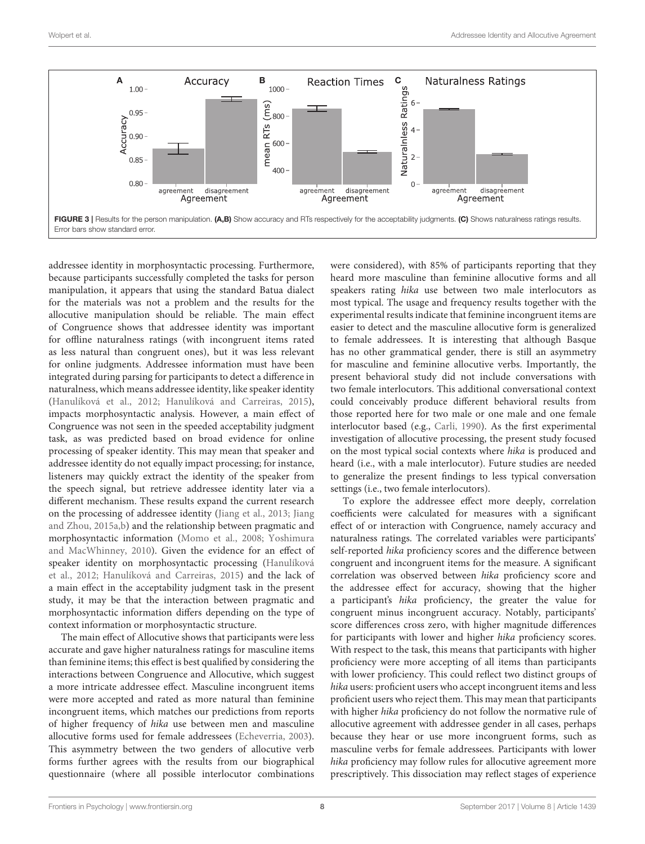

<span id="page-7-0"></span>addressee identity in morphosyntactic processing. Furthermore, because participants successfully completed the tasks for person manipulation, it appears that using the standard Batua dialect for the materials was not a problem and the results for the allocutive manipulation should be reliable. The main effect of Congruence shows that addressee identity was important for offline naturalness ratings (with incongruent items rated as less natural than congruent ones), but it was less relevant for online judgments. Addressee information must have been integrated during parsing for participants to detect a difference in naturalness, which means addressee identity, like speaker identity [\(Hanulíková et al., 2012;](#page-9-7) [Hanulíková and Carreiras, 2015\)](#page-9-8), impacts morphosyntactic analysis. However, a main effect of Congruence was not seen in the speeded acceptability judgment task, as was predicted based on broad evidence for online processing of speaker identity. This may mean that speaker and addressee identity do not equally impact processing; for instance, listeners may quickly extract the identity of the speaker from the speech signal, but retrieve addressee identity later via a different mechanism. These results expand the current research on the processing of addressee identity [\(Jiang et al., 2013;](#page-9-13) Jiang and Zhou, [2015a](#page-9-14)[,b\)](#page-9-15) and the relationship between pragmatic and morphosyntactic information [\(Momo et al., 2008;](#page-9-16) Yoshimura and MacWhinney, [2010\)](#page-10-2). Given the evidence for an effect of speaker identity on morphosyntactic processing (Hanulíková et al., [2012;](#page-9-7) [Hanulíková and Carreiras, 2015\)](#page-9-8) and the lack of a main effect in the acceptability judgment task in the present study, it may be that the interaction between pragmatic and morphosyntactic information differs depending on the type of context information or morphosyntactic structure.

The main effect of Allocutive shows that participants were less accurate and gave higher naturalness ratings for masculine items than feminine items; this effect is best qualified by considering the interactions between Congruence and Allocutive, which suggest a more intricate addressee effect. Masculine incongruent items were more accepted and rated as more natural than feminine incongruent items, which matches our predictions from reports of higher frequency of hika use between men and masculine allocutive forms used for female addressees [\(Echeverria, 2003\)](#page-9-33). This asymmetry between the two genders of allocutive verb forms further agrees with the results from our biographical questionnaire (where all possible interlocutor combinations were considered), with 85% of participants reporting that they heard more masculine than feminine allocutive forms and all speakers rating hika use between two male interlocutors as most typical. The usage and frequency results together with the experimental results indicate that feminine incongruent items are easier to detect and the masculine allocutive form is generalized to female addressees. It is interesting that although Basque has no other grammatical gender, there is still an asymmetry for masculine and feminine allocutive verbs. Importantly, the present behavioral study did not include conversations with two female interlocutors. This additional conversational context could conceivably produce different behavioral results from those reported here for two male or one male and one female interlocutor based (e.g., [Carli, 1990\)](#page-9-47). As the first experimental investigation of allocutive processing, the present study focused on the most typical social contexts where hika is produced and heard (i.e., with a male interlocutor). Future studies are needed to generalize the present findings to less typical conversation settings (i.e., two female interlocutors).

To explore the addressee effect more deeply, correlation coefficients were calculated for measures with a significant effect of or interaction with Congruence, namely accuracy and naturalness ratings. The correlated variables were participants' self-reported hika proficiency scores and the difference between congruent and incongruent items for the measure. A significant correlation was observed between hika proficiency score and the addressee effect for accuracy, showing that the higher a participant's hika proficiency, the greater the value for congruent minus incongruent accuracy. Notably, participants' score differences cross zero, with higher magnitude differences for participants with lower and higher hika proficiency scores. With respect to the task, this means that participants with higher proficiency were more accepting of all items than participants with lower proficiency. This could reflect two distinct groups of hika users: proficient users who accept incongruent items and less proficient users who reject them. This may mean that participants with higher hika proficiency do not follow the normative rule of allocutive agreement with addressee gender in all cases, perhaps because they hear or use more incongruent forms, such as masculine verbs for female addressees. Participants with lower hika proficiency may follow rules for allocutive agreement more prescriptively. This dissociation may reflect stages of experience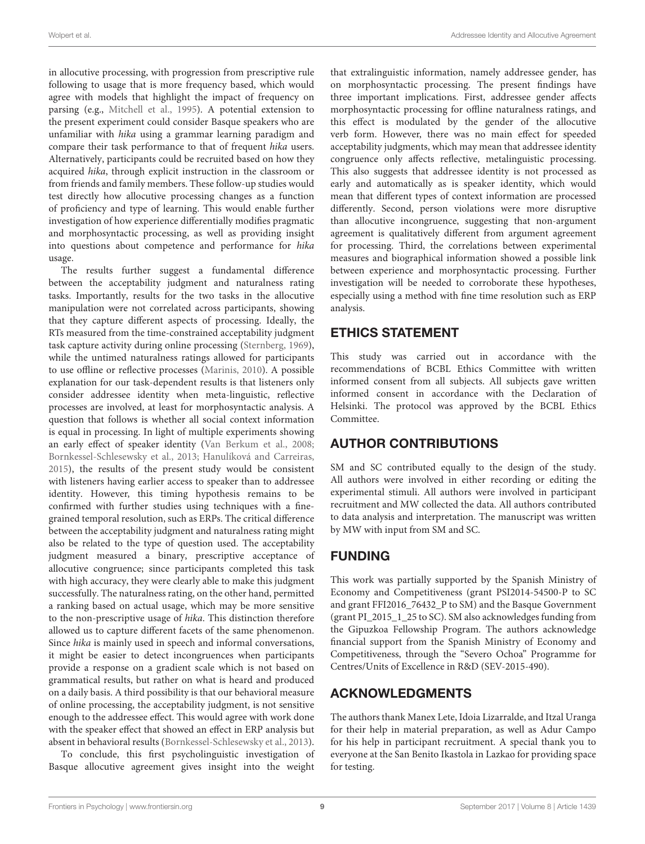in allocutive processing, with progression from prescriptive rule following to usage that is more frequency based, which would agree with models that highlight the impact of frequency on parsing (e.g., [Mitchell et al., 1995\)](#page-9-48). A potential extension to the present experiment could consider Basque speakers who are unfamiliar with hika using a grammar learning paradigm and compare their task performance to that of frequent hika users. Alternatively, participants could be recruited based on how they acquired hika, through explicit instruction in the classroom or from friends and family members. These follow-up studies would test directly how allocutive processing changes as a function of proficiency and type of learning. This would enable further investigation of how experience differentially modifies pragmatic and morphosyntactic processing, as well as providing insight into questions about competence and performance for hika usage.

The results further suggest a fundamental difference between the acceptability judgment and naturalness rating tasks. Importantly, results for the two tasks in the allocutive manipulation were not correlated across participants, showing that they capture different aspects of processing. Ideally, the RTs measured from the time-constrained acceptability judgment task capture activity during online processing [\(Sternberg, 1969\)](#page-10-5), while the untimed naturalness ratings allowed for participants to use offline or reflective processes [\(Marinis, 2010\)](#page-9-44). A possible explanation for our task-dependent results is that listeners only consider addressee identity when meta-linguistic, reflective processes are involved, at least for morphosyntactic analysis. A question that follows is whether all social context information is equal in processing. In light of multiple experiments showing an early effect of speaker identity [\(Van Berkum et al., 2008;](#page-10-0) [Bornkessel-Schlesewsky et al., 2013;](#page-9-5) [Hanulíková and Carreiras,](#page-9-8) [2015\)](#page-9-8), the results of the present study would be consistent with listeners having earlier access to speaker than to addressee identity. However, this timing hypothesis remains to be confirmed with further studies using techniques with a finegrained temporal resolution, such as ERPs. The critical difference between the acceptability judgment and naturalness rating might also be related to the type of question used. The acceptability judgment measured a binary, prescriptive acceptance of allocutive congruence; since participants completed this task with high accuracy, they were clearly able to make this judgment successfully. The naturalness rating, on the other hand, permitted a ranking based on actual usage, which may be more sensitive to the non-prescriptive usage of hika. This distinction therefore allowed us to capture different facets of the same phenomenon. Since hika is mainly used in speech and informal conversations, it might be easier to detect incongruences when participants provide a response on a gradient scale which is not based on grammatical results, but rather on what is heard and produced on a daily basis. A third possibility is that our behavioral measure of online processing, the acceptability judgment, is not sensitive enough to the addressee effect. This would agree with work done with the speaker effect that showed an effect in ERP analysis but absent in behavioral results [\(Bornkessel-Schlesewsky et al., 2013\)](#page-9-5).

To conclude, this first psycholinguistic investigation of Basque allocutive agreement gives insight into the weight that extralinguistic information, namely addressee gender, has on morphosyntactic processing. The present findings have three important implications. First, addressee gender affects morphosyntactic processing for offline naturalness ratings, and this effect is modulated by the gender of the allocutive verb form. However, there was no main effect for speeded acceptability judgments, which may mean that addressee identity congruence only affects reflective, metalinguistic processing. This also suggests that addressee identity is not processed as early and automatically as is speaker identity, which would mean that different types of context information are processed differently. Second, person violations were more disruptive than allocutive incongruence, suggesting that non-argument agreement is qualitatively different from argument agreement for processing. Third, the correlations between experimental measures and biographical information showed a possible link between experience and morphosyntactic processing. Further investigation will be needed to corroborate these hypotheses, especially using a method with fine time resolution such as ERP analysis.

# ETHICS STATEMENT

This study was carried out in accordance with the recommendations of BCBL Ethics Committee with written informed consent from all subjects. All subjects gave written informed consent in accordance with the Declaration of Helsinki. The protocol was approved by the BCBL Ethics Committee.

# AUTHOR CONTRIBUTIONS

SM and SC contributed equally to the design of the study. All authors were involved in either recording or editing the experimental stimuli. All authors were involved in participant recruitment and MW collected the data. All authors contributed to data analysis and interpretation. The manuscript was written by MW with input from SM and SC.

# FUNDING

This work was partially supported by the Spanish Ministry of Economy and Competitiveness (grant PSI2014-54500-P to SC and grant FFI2016\_76432\_P to SM) and the Basque Government (grant PI\_2015\_1\_25 to SC). SM also acknowledges funding from the Gipuzkoa Fellowship Program. The authors acknowledge financial support from the Spanish Ministry of Economy and Competitiveness, through the "Severo Ochoa" Programme for Centres/Units of Excellence in R&D (SEV-2015-490).

# ACKNOWLEDGMENTS

The authors thank Manex Lete, Idoia Lizarralde, and Itzal Uranga for their help in material preparation, as well as Adur Campo for his help in participant recruitment. A special thank you to everyone at the San Benito Ikastola in Lazkao for providing space for testing.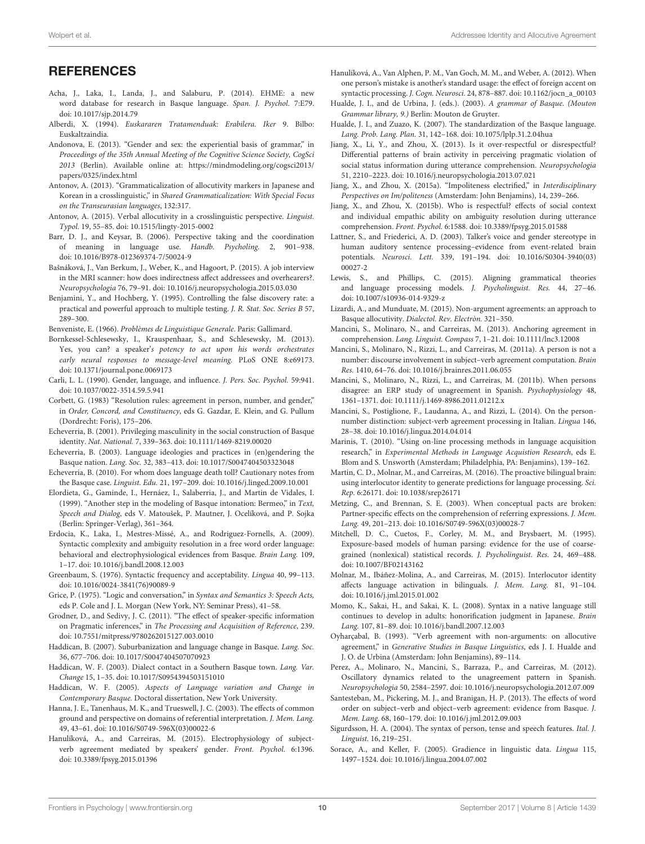#### Wolpert et al. **Addressee Identity and Allocutive Agreement** Construction and Allocutive Agreement

## **REFERENCES**

- <span id="page-9-45"></span>Acha, J., Laka, I., Landa, J., and Salaburu, P. (2014). EHME: a new word database for research in Basque language. Span. J. Psychol. 7:E79. doi: [10.1017/sjp.2014.79](https://doi.org/10.1017/sjp.2014.79)
- <span id="page-9-29"></span>Alberdi, X. (1994). Euskararen Tratamenduak: Erabilera. Iker 9. Bilbo: Euskaltzaindia.
- <span id="page-9-11"></span>Andonova, E. (2013). "Gender and sex: the experiential basis of grammar," in Proceedings of the 35th Annual Meeting of the Cognitive Science Society, CogSci 2013 (Berlin). Available online at: [https://mindmodeling.org/cogsci2013/](https://mindmodeling.org/cogsci2013/papers/0325/index.html) [papers/0325/index.html](https://mindmodeling.org/cogsci2013/papers/0325/index.html)
- <span id="page-9-38"></span>Antonov, A. (2013). "Grammaticalization of allocutivity markers in Japanese and Korean in a crosslinguistic," in Shared Grammaticalization: With Special Focus on the Transeurasian languages, 132:317.
- <span id="page-9-19"></span>Antonov, A. (2015). Verbal allocutivity in a crosslinguistic perspective. Linguist. Typol. 19, 55–85. doi: [10.1515/lingty-2015-0002](https://doi.org/10.1515/lingty-2015-0002)
- <span id="page-9-3"></span>Barr, D. J., and Keysar, B. (2006). Perspective taking and the coordination of meaning in language use. Handb. Psycholing. 2, 901–938. doi: [10.1016/B978-012369374-7/50024-9](https://doi.org/10.1016/B978-012369374-7/50024-9)
- <span id="page-9-12"></span>Bašnáková, J., Van Berkum, J., Weber, K., and Hagoort, P. (2015). A job interview in the MRI scanner: how does indirectness affect addressees and overhearers?. Neuropsychologia 76, 79–91. doi: [10.1016/j.neuropsychologia.2015.03.030](https://doi.org/10.1016/j.neuropsychologia.2015.03.030)
- <span id="page-9-46"></span>Benjamini, Y., and Hochberg, Y. (1995). Controlling the false discovery rate: a practical and powerful approach to multiple testing. J. R. Stat. Soc. Series B 57, 289–300.
- <span id="page-9-21"></span>Benveniste, E. (1966). Problèmes de Linguistique Generale. Paris: Gallimard.
- <span id="page-9-5"></span>Bornkessel-Schlesewsky, I., Krauspenhaar, S., and Schlesewsky, M. (2013). Yes, you can? a speaker's potency to act upon his words orchestrates early neural responses to message-level meaning. PLoS ONE 8:e69173. doi: [10.1371/journal.pone.0069173](https://doi.org/10.1371/journal.pone.0069173)
- <span id="page-9-47"></span>Carli, L. L. (1990). Gender, language, and influence. J. Pers. Soc. Psychol. 59:941. doi: [10.1037/0022-3514.59.5.941](https://doi.org/10.1037/0022-3514.59.5.941)
- <span id="page-9-20"></span>Corbett, G. (1983) "Resolution rules: agreement in person, number, and gender," in Order, Concord, and Constituency, eds G. Gazdar, E. Klein, and G. Pullum (Dordrecht: Foris), 175–206.
- <span id="page-9-32"></span>Echeverria, B. (2001). Privileging masculinity in the social construction of Basque identity. Nat. National. 7, 339–363. doi: [10.1111/1469-8219.00020](https://doi.org/10.1111/1469-8219.00020)
- <span id="page-9-33"></span>Echeverria, B. (2003). Language ideologies and practices in (en)gendering the Basque nation. Lang. Soc. 32, 383–413. doi: [10.1017/S0047404503323048](https://doi.org/10.1017/S0047404503323048)
- <span id="page-9-34"></span>Echeverria, B. (2010). For whom does language death toll? Cautionary notes from the Basque case. Linguist. Edu. 21, 197–209. doi: [10.1016/j.linged.2009.10.001](https://doi.org/10.1016/j.linged.2009.10.001)
- <span id="page-9-30"></span>Elordieta, G., Gaminde, I., Hernáez, I., Salaberria, J., and Martin de Vidales, I. (1999). "Another step in the modeling of Basque intonation: Bermeo," in Text, Speech and Dialog, eds V. Matoušek, P. Mautner, J. Ocelíková, and P. Sojka (Berlin: Springer-Verlag), 361–364.
- <span id="page-9-39"></span>Erdocia, K., Laka, I., Mestres-Missé, A., and Rodriguez-Fornells, A. (2009). Syntactic complexity and ambiguity resolution in a free word order language: behavioral and electrophysiological evidences from Basque. Brain Lang. 109, 1–17. doi: [10.1016/j.bandl.2008.12.003](https://doi.org/10.1016/j.bandl.2008.12.003)
- <span id="page-9-41"></span>Greenbaum, S. (1976). Syntactic frequency and acceptability. Lingua 40, 99–113. doi: [10.1016/0024-3841\(76\)90089-9](https://doi.org/10.1016/0024-3841(76)90089-9)
- <span id="page-9-0"></span>Grice, P. (1975). "Logic and conversation," in Syntax and Semantics 3: Speech Acts, eds P. Cole and J. L. Morgan (New York, NY: Seminar Press), 41–58.
- <span id="page-9-4"></span>Grodner, D., and Sedivy, J. C. (2011). "The effect of speaker-specific information on Pragmatic inferences," in The Processing and Acquisition of Reference, 239. doi: [10.7551/mitpress/9780262015127.003.0010](https://doi.org/10.7551/mitpress/9780262015127.003.0010)
- <span id="page-9-37"></span>Haddican, B. (2007). Suburbanization and language change in Basque. Lang. Soc. 36, 677–706. doi: [10.1017/S0047404507070923](https://doi.org/10.1017/S0047404507070923)
- <span id="page-9-35"></span>Haddican, W. F. (2003). Dialect contact in a Southern Basque town. Lang. Var. Change 15, 1–35. doi: [10.1017/S0954394503151010](https://doi.org/10.1017/S0954394503151010)
- <span id="page-9-36"></span>Haddican, W. F. (2005). Aspects of Language variation and Change in Contemporary Basque. Doctoral dissertation, New York University.
- <span id="page-9-1"></span>Hanna, J. E., Tanenhaus, M. K., and Trueswell, J. C. (2003). The effects of common ground and perspective on domains of referential interpretation. J. Mem. Lang. 49, 43–61. doi: [10.1016/S0749-596X\(03\)00022-6](https://doi.org/10.1016/S0749-596X(03)00022-6)
- <span id="page-9-8"></span>Hanulíková, A., and Carreiras, M. (2015). Electrophysiology of subjectverb agreement mediated by speakers' gender. Front. Psychol. 6:1396. doi: [10.3389/fpsyg.2015.01396](https://doi.org/10.3389/fpsyg.2015.01396)

<span id="page-9-7"></span>Hanulíková, A., Van Alphen, P. M., Van Goch, M. M., and Weber, A. (2012). When one person's mistake is another's standard usage: the effect of foreign accent on syntactic processing. J. Cogn. Neurosci. 24, 878–887. doi: [10.1162/jocn\\_a\\_00103](https://doi.org/10.1162/jocn_a_00103)

- <span id="page-9-18"></span>Hualde, J. I., and de Urbina, J. (eds.). (2003). A grammar of Basque. (Mouton Grammar library, 9.) Berlin: Mouton de Gruyter.
- <span id="page-9-28"></span>Hualde, J. I., and Zuazo, K. (2007). The standardization of the Basque language. Lang. Prob. Lang. Plan. 31, 142–168. doi: [10.1075/lplp.31.2.04hua](https://doi.org/10.1075/lplp.31.2.04hua)
- <span id="page-9-13"></span>Jiang, X., Li, Y., and Zhou, X. (2013). Is it over-respectful or disrespectful? Differential patterns of brain activity in perceiving pragmatic violation of social status information during utterance comprehension. Neuropsychologia 51, 2210–2223. doi: [10.1016/j.neuropsychologia.2013.07.021](https://doi.org/10.1016/j.neuropsychologia.2013.07.021)
- <span id="page-9-14"></span>Jiang, X., and Zhou, X. (2015a). "Impoliteness electrified," in Interdisciplinary Perspectives on Im/politeness (Amsterdam: John Benjamins), 14, 239–266.
- <span id="page-9-15"></span>Jiang, X., and Zhou, X. (2015b). Who is respectful? effects of social context and individual empathic ability on ambiguity resolution during utterance comprehension. Front. Psychol. 6:1588. doi: [10.3389/fpsyg.2015.01588](https://doi.org/10.3389/fpsyg.2015.01588)
- <span id="page-9-6"></span>Lattner, S., and Friederici, A. D. (2003). Talker's voice and gender stereotype in human auditory sentence processing–evidence from event-related brain potentials. Neurosci. Lett. [339, 191–194. doi: 10.1016/S0304-3940\(03\)](https://doi.org/10.1016/S0304-3940(03)00027-2) 00027-2
- <span id="page-9-43"></span>Lewis, S., and Phillips, C. (2015). Aligning grammatical theories and language processing models. J. Psycholinguist. Res. 44, 27–46. doi: [10.1007/s10936-014-9329-z](https://doi.org/10.1007/s10936-014-9329-z)
- <span id="page-9-31"></span>Lizardi, A., and Munduate, M. (2015). Non-argument agreements: an approach to Basque allocutivity. Dialectol. Rev. Electròn. 321–350.
- <span id="page-9-23"></span>Mancini, S., Molinaro, N., and Carreiras, M. (2013). Anchoring agreement in comprehension. Lang. Linguist. Compass 7, 1–21. doi: [10.1111/lnc3.12008](https://doi.org/10.1111/lnc3.12008)
- <span id="page-9-24"></span>Mancini, S., Molinaro, N., Rizzi, L., and Carreiras, M. (2011a). A person is not a number: discourse involvement in subject–verb agreement computation. Brain Res. 1410, 64–76. doi: [10.1016/j.brainres.2011.06.055](https://doi.org/10.1016/j.brainres.2011.06.055)
- <span id="page-9-25"></span>Mancini, S., Molinaro, N., Rizzi, L., and Carreiras, M. (2011b). When persons disagree: an ERP study of unagreement in Spanish. Psychophysiology 48, 1361–1371. doi: [10.1111/j.1469-8986.2011.01212.x](https://doi.org/10.1111/j.1469-8986.2011.01212.x)
- <span id="page-9-27"></span>Mancini, S., Postiglione, F., Laudanna, A., and Rizzi, L. (2014). On the personnumber distinction: subject-verb agreement processing in Italian. Lingua 146, 28–38. doi: [10.1016/j.lingua.2014.04.014](https://doi.org/10.1016/j.lingua.2014.04.014)
- <span id="page-9-44"></span>Marinis, T. (2010). "Using on-line processing methods in language acquisition research," in Experimental Methods in Language Acquistion Research, eds E. Blom and S. Unsworth (Amsterdam; Philadelphia, PA: Benjamins), 139–162.
- <span id="page-9-10"></span>Martin, C. D., Molnar, M., and Carreiras, M. (2016). The proactive bilingual brain: using interlocutor identity to generate predictions for language processing. Sci. Rep. 6:26171. doi: [10.1038/srep26171](https://doi.org/10.1038/srep26171)
- <span id="page-9-2"></span>Metzing, C., and Brennan, S. E. (2003). When conceptual pacts are broken: Partner-specific effects on the comprehension of referring expressions. J. Mem. Lang. 49, 201–213. doi: [10.1016/S0749-596X\(03\)00028-7](https://doi.org/10.1016/S0749-596X(03)00028-7)
- <span id="page-9-48"></span>Mitchell, D. C., Cuetos, F., Corley, M. M., and Brysbaert, M. (1995). Exposure-based models of human parsing: evidence for the use of coarsegrained (nonlexical) statistical records. J. Psycholinguist. Res. 24, 469–488. doi: [10.1007/BF02143162](https://doi.org/10.1007/BF02143162)
- <span id="page-9-9"></span>Molnar, M., Ibáñez-Molina, A., and Carreiras, M. (2015). Interlocutor identity affects language activation in bilinguals. J. Mem. Lang. 81, 91–104. doi: [10.1016/j.jml.2015.01.002](https://doi.org/10.1016/j.jml.2015.01.002)
- <span id="page-9-16"></span>Momo, K., Sakai, H., and Sakai, K. L. (2008). Syntax in a native language still continues to develop in adults: honorification judgment in Japanese. Brain Lang. 107, 81–89. doi: [10.1016/j.bandl.2007.12.003](https://doi.org/10.1016/j.bandl.2007.12.003)
- <span id="page-9-17"></span>Oyharçabal, B. (1993). "Verb agreement with non-arguments: on allocutive agreement," in Generative Studies in Basque Linguistics, eds J. I. Hualde and J. O. de Urbina (Amsterdam: John Benjamins), 89–114.
- <span id="page-9-26"></span>Perez, A., Molinaro, N., Mancini, S., Barraza, P., and Carreiras, M. (2012). Oscillatory dynamics related to the unagreement pattern in Spanish. Neuropsychologia 50, 2584–2597. doi: [10.1016/j.neuropsychologia.2012.07.009](https://doi.org/10.1016/j.neuropsychologia.2012.07.009)
- <span id="page-9-40"></span>Santesteban, M., Pickering, M. J., and Branigan, H. P. (2013). The effects of word order on subject–verb and object–verb agreement: evidence from Basque. J. Mem. Lang. 68, 160–179. doi: [10.1016/j.jml.2012.09.003](https://doi.org/10.1016/j.jml.2012.09.003)
- <span id="page-9-22"></span>Sigurdsson, H. A. (2004). The syntax of person, tense and speech features. Ital. J. Linguist. 16, 219–251.
- <span id="page-9-42"></span>Sorace, A., and Keller, F. (2005). Gradience in linguistic data. Lingua 115, 1497–1524. doi: [10.1016/j.lingua.2004.07.002](https://doi.org/10.1016/j.lingua.2004.07.002)